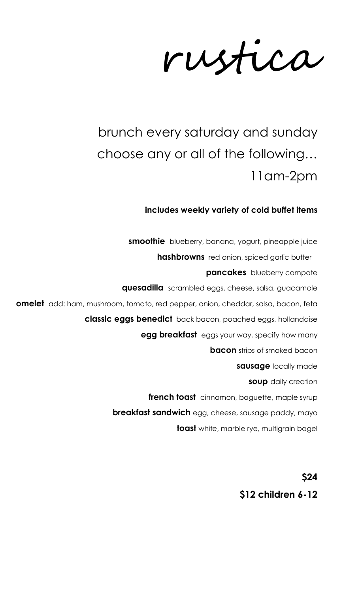rustica

# brunch every saturday and sunday choose any or all of the following… 11am-2pm

### **includes weekly variety of cold buffet items**

**smoothie** blueberry, banana, yogurt, pineapple juice **hashbrowns** red onion, spiced garlic butter **pancakes** blueberry compote **quesadilla** scrambled eggs, cheese, salsa, guacamole **omelet** add: ham, mushroom, tomato, red pepper, onion, cheddar, salsa, bacon, feta **classic eggs benedict** back bacon, poached eggs, hollandaise **egg breakfast** eggs your way, specify how many **bacon** strips of smoked bacon **sausage** locally made **soup** daily creation **french toast** cinnamon, baguette, maple syrup **breakfast sandwich** egg, cheese, sausage paddy, mayo **toast** white, marble rye, multigrain bagel

> **\$24 \$12 children 6-12**